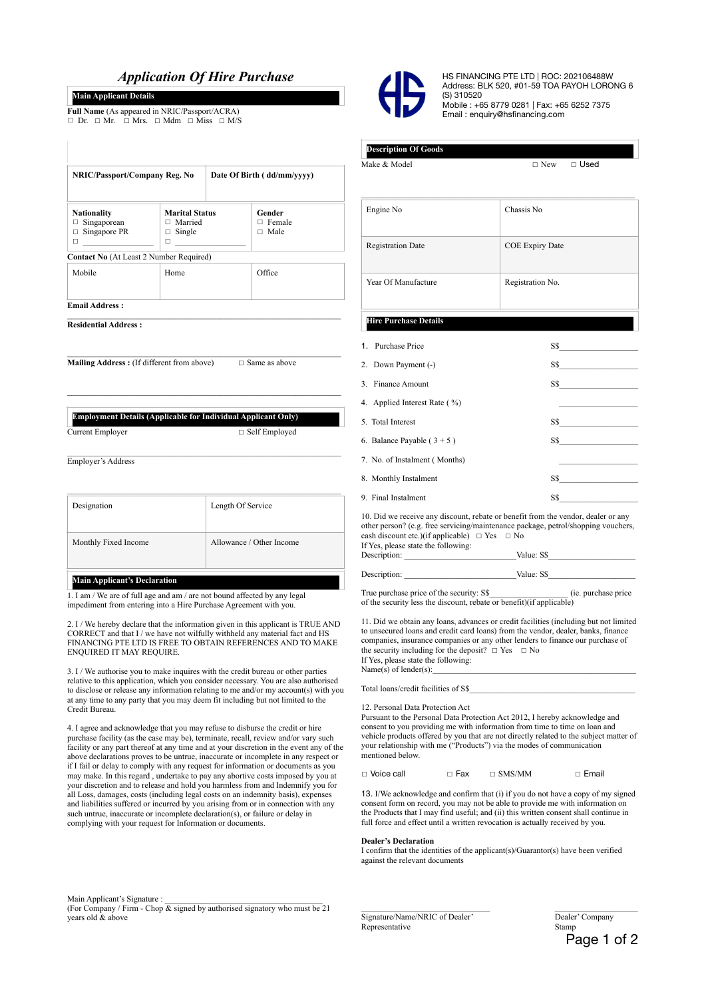# *Application Of Hire Purchase*

**NRIC/Passport/Company Reg. No Date Of Birth ( dd/mm/yyyy)** 

**Marital Status**  □ Married  $\Box$  Single

# **Main Applicant Details**

**Full Name** (As appeared in NRIC/Passport/ACRA) ☐ Dr. ☐ Mr. ☐ Mrs. ☐ Mdm ☐ Miss ☐ M/S

**Contact No** (At Least 2 Number Required)



HS FINANCING PTE LTD | ROC: 202106488W Address: BLK 520, #01-59 TOA PAYOH LORONG 6 (S) 310520 Mobile : +65 8779 0281 | Fax: +65 6252 7375 Email : enquiry@hsfinancing.com

# **Description Of Goods**

 $\Box$   $\Box$  Make & Model  $\Box$   $\Box$  New  $\Box$  Used

| Engine No                     | Chassis No                                   |
|-------------------------------|----------------------------------------------|
| <b>Registration Date</b>      | <b>COE Expiry Date</b>                       |
| Year Of Manufacture           | Registration No.                             |
| <b>Hire Purchase Details</b>  |                                              |
| 1. Purchase Price             | S\$                                          |
| 2. Down Payment (-)           |                                              |
| 3. Finance Amount             | SS                                           |
| 4. Applied Interest Rate (%)  |                                              |
| 5. Total Interest             | $SS \tightharpoonup$                         |
| 6. Balance Payable $(3 + 5)$  | SS                                           |
| 7. No. of Instalment (Months) | the control of the control of the control of |
| 8. Monthly Instalment         | $SS$ and $\sim$                              |
| 9. Final Instalment           | $SS \tightharpoonup$                         |

10. Did we receive any discount, rebate or benefit from the vendor, dealer or any other person? (e.g. free servicing/maintenance package, petrol/shopping vouchers, cash discount etc.)(if applicable)  $□$  Yes  $□$  No

| If Yes, please state the following: |            |
|-------------------------------------|------------|
| Description:                        | Value: S\$ |
|                                     |            |
| Description:                        | Value: S\$ |

True purchase price of the security: S\$ (ie. purchase price of the security less the discount, rebate or benefit)(if applicable)

11. Did we obtain any loans, advances or credit facilities (including but not limited to unsecured loans and credit card loans) from the vendor, dealer, banks, finance companies, insurance companies or any other lenders to finance our purchase of the security including for the deposit?  $□$  Yes  $□$  No If Yes, please state the following: Name $(s)$  of lender $(s)$ :

Total loans/credit facilities of S\$

12. Personal Data Protection Act

Pursuant to the Personal Data Protection Act 2012, I hereby acknowledge and consent to you providing me with information from time to time on loan and vehicle products offered by you that are not directly related to the subject matter of your relationship with me ("Products") via the modes of communication mentioned below.

| □ Voice call | $\Box$ Fax | $\Box$ SMS/MM | □ Email |
|--------------|------------|---------------|---------|
|--------------|------------|---------------|---------|

13. I/We acknowledge and confirm that (i) if you do not have a copy of my signed consent form on record, you may not be able to provide me with information on the Products that I may find useful; and (ii) this written consent shall continue in full force and effect until a written revocation is actually received by you.

#### **Dealer's Declaration**

I confirm that the identities of the applicant(s)/Guarantor(s) have been verified against the relevant documents

Main Applicant's Signature :

(For Company / Firm - Chop  $\&$  signed by authorised signatory who must be 21 years old & above

Signature/Name/NRIC of Dealer' Dealer' Company<br>Representative Stamp Representative

Page 1 of 2

Current Employer □ Self Employed

Employer's Address

**Email Address :** 

**Nationality**  □ Singaporean  $\Box$  Singapore PR ☐ \_\_\_\_\_\_\_\_\_\_\_\_\_\_\_\_\_

**Residential Address :** 

| Designation          | Length Of Service        |
|----------------------|--------------------------|
| Monthly Fixed Income | Allowance / Other Income |
|                      |                          |

**\_\_\_\_\_\_\_\_\_\_\_\_\_\_\_\_\_\_\_\_\_\_\_\_\_\_\_\_\_\_\_\_\_\_\_\_\_\_\_\_\_\_\_\_\_\_\_\_\_\_\_\_\_\_\_\_\_\_\_\_\_\_\_\_\_\_** 

☐ \_\_\_\_\_\_\_\_\_\_\_\_\_\_\_\_\_

**Gender**  ☐ Female ☐ Male

**\_\_\_\_\_\_\_\_\_\_\_\_\_\_\_\_\_\_\_\_\_\_\_\_\_\_\_\_\_\_\_\_\_\_\_\_\_\_\_\_\_\_\_\_\_\_\_\_\_\_\_\_\_\_\_\_\_\_\_\_\_\_\_\_\_\_** 

 $\mathcal{L}_\text{max} = \frac{1}{2} \sum_{i=1}^n \mathcal{L}_\text{max}(\mathbf{z}_i - \mathbf{z}_i)$ 

**Mailing Address :** (If different from above) □ Same as above

**Employment Details (Applicable for Individual Applicant Only)**

Mobile Home | Office

**Main Applicant's Declaration**

1. I am / We are of full age and am / are not bound affected by any legal impediment from entering into a Hire Purchase Agreement with you.

2. I / We hereby declare that the information given in this applicant is TRUE AND CORRECT and that I / we have not wilfully withheld any material fact and HS FINANCING PTE LTD IS FREE TO OBTAIN REFERENCES AND TO MAKE ENQUIRED IT MAY REQUIRE.

3. I / We authorise you to make inquires with the credit bureau or other parties relative to this application, which you consider necessary. You are also authorised to disclose or release any information relating to me and/or my account(s) with you at any time to any party that you may deem fit including but not limited to the Credit Bureau.

4. I agree and acknowledge that you may refuse to disburse the credit or hire purchase facility (as the case may be), terminate, recall, review and/or vary such facility or any part thereof at any time and at your discretion in the event any of the above declarations proves to be untrue, inaccurate or incomplete in any respect or if I fail or delay to comply with any request for information or documents as you may make. In this regard , undertake to pay any abortive costs imposed by you at your discretion and to release and hold you harmless from and Indemnify you for all Loss, damages, costs (including legal costs on an indemnity basis), expenses and liabilities suffered or incurred by you arising from or in connection with any such untrue, inaccurate or incomplete declaration(s), or failure or delay in complying with your request for Information or documents.